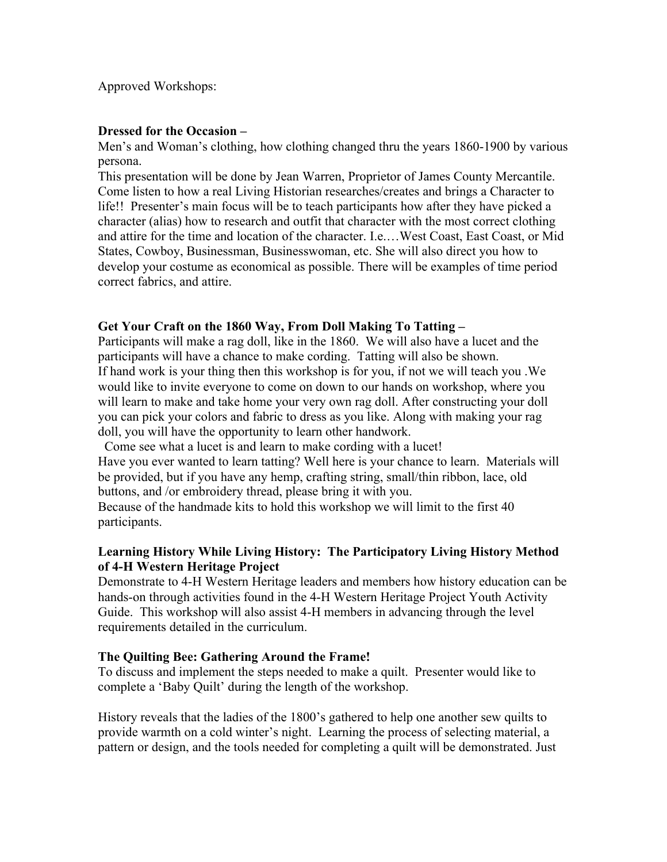## Approved Workshops:

#### **Dressed for the Occasion –**

Men's and Woman's clothing, how clothing changed thru the years 1860-1900 by various persona.

This presentation will be done by Jean Warren, Proprietor of James County Mercantile. Come listen to how a real Living Historian researches/creates and brings a Character to life!! Presenter's main focus will be to teach participants how after they have picked a character (alias) how to research and outfit that character with the most correct clothing and attire for the time and location of the character. I.e.…West Coast, East Coast, or Mid States, Cowboy, Businessman, Businesswoman, etc. She will also direct you how to develop your costume as economical as possible. There will be examples of time period correct fabrics, and attire.

#### **Get Your Craft on the 1860 Way, From Doll Making To Tatting –**

Participants will make a rag doll, like in the 1860. We will also have a lucet and the participants will have a chance to make cording. Tatting will also be shown. If hand work is your thing then this workshop is for you, if not we will teach you .We would like to invite everyone to come on down to our hands on workshop, where you will learn to make and take home your very own rag doll. After constructing your doll you can pick your colors and fabric to dress as you like. Along with making your rag doll, you will have the opportunity to learn other handwork.

 Come see what a lucet is and learn to make cording with a lucet! Have you ever wanted to learn tatting? Well here is your chance to learn. Materials will be provided, but if you have any hemp, crafting string, small/thin ribbon, lace, old buttons, and /or embroidery thread, please bring it with you.

Because of the handmade kits to hold this workshop we will limit to the first 40 participants.

# **Learning History While Living History: The Participatory Living History Method of 4-H Western Heritage Project**

Demonstrate to 4-H Western Heritage leaders and members how history education can be hands-on through activities found in the 4-H Western Heritage Project Youth Activity Guide. This workshop will also assist 4-H members in advancing through the level requirements detailed in the curriculum.

#### **The Quilting Bee: Gathering Around the Frame!**

To discuss and implement the steps needed to make a quilt. Presenter would like to complete a 'Baby Quilt' during the length of the workshop.

History reveals that the ladies of the 1800's gathered to help one another sew quilts to provide warmth on a cold winter's night. Learning the process of selecting material, a pattern or design, and the tools needed for completing a quilt will be demonstrated. Just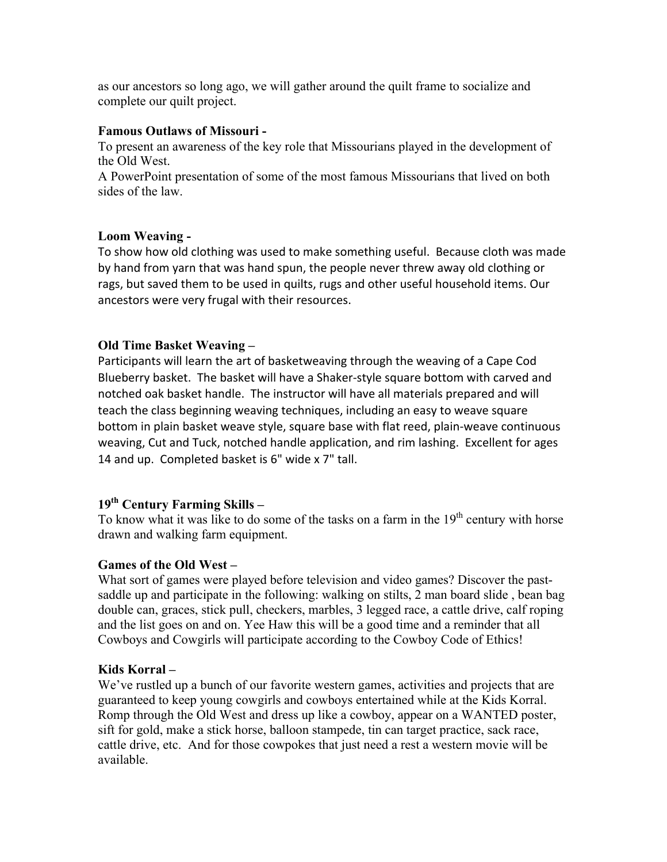as our ancestors so long ago, we will gather around the quilt frame to socialize and complete our quilt project.

## **Famous Outlaws of Missouri -**

To present an awareness of the key role that Missourians played in the development of the Old West.

A PowerPoint presentation of some of the most famous Missourians that lived on both sides of the law.

## **Loom Weaving -**

To show how old clothing was used to make something useful. Because cloth was made by hand from yarn that was hand spun, the people never threw away old clothing or rags, but saved them to be used in quilts, rugs and other useful household items. Our ancestors were very frugal with their resources.

## **Old Time Basket Weaving –**

Participants will learn the art of basketweaving through the weaving of a Cape Cod Blueberry basket. The basket will have a Shaker-style square bottom with carved and notched oak basket handle. The instructor will have all materials prepared and will teach the class beginning weaving techniques, including an easy to weave square bottom in plain basket weave style, square base with flat reed, plain-weave continuous weaving, Cut and Tuck, notched handle application, and rim lashing. Excellent for ages 14 and up. Completed basket is 6" wide x 7" tall.

# **19th Century Farming Skills –**

To know what it was like to do some of the tasks on a farm in the 19<sup>th</sup> century with horse drawn and walking farm equipment.

## **Games of the Old West –**

What sort of games were played before television and video games? Discover the pastsaddle up and participate in the following: walking on stilts, 2 man board slide , bean bag double can, graces, stick pull, checkers, marbles, 3 legged race, a cattle drive, calf roping and the list goes on and on. Yee Haw this will be a good time and a reminder that all Cowboys and Cowgirls will participate according to the Cowboy Code of Ethics!

## **Kids Korral –**

We've rustled up a bunch of our favorite western games, activities and projects that are guaranteed to keep young cowgirls and cowboys entertained while at the Kids Korral. Romp through the Old West and dress up like a cowboy, appear on a WANTED poster, sift for gold, make a stick horse, balloon stampede, tin can target practice, sack race, cattle drive, etc. And for those cowpokes that just need a rest a western movie will be available.